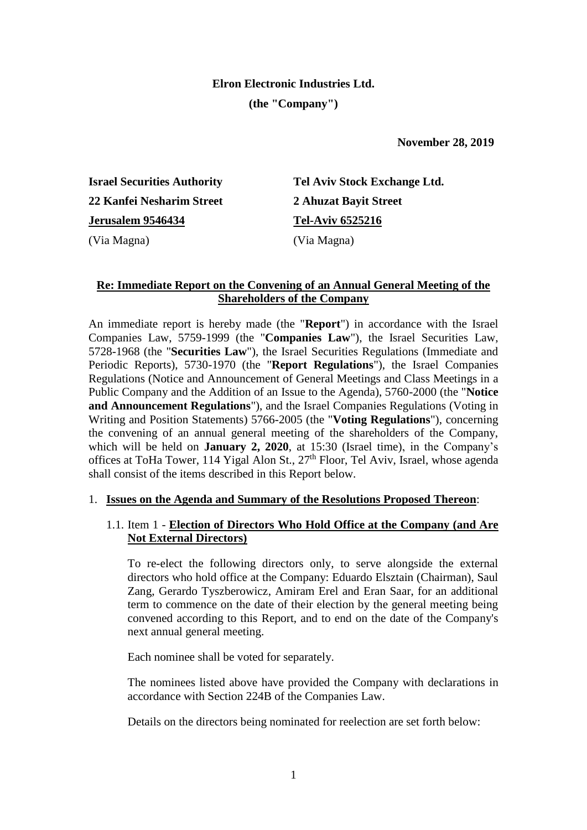# **Elron Electronic Industries Ltd. (the "Company")**

 **November 28, 2019**

**Israel Securities Authority 22 Kanfei Nesharim Street Jerusalem 9546434** (Via Magna) (Via Magna)

**Tel Aviv Stock Exchange Ltd. 2 Ahuzat Bayit Street Tel-Aviv 6525216**

# **Re: Immediate Report on the Convening of an Annual General Meeting of the Shareholders of the Company**

An immediate report is hereby made (the "**Report**") in accordance with the Israel Companies Law, 5759-1999 (the "**Companies Law**"), the Israel Securities Law, 5728-1968 (the "**Securities Law**"), the Israel Securities Regulations (Immediate and Periodic Reports), 5730-1970 (the "**Report Regulations**"), the Israel Companies Regulations (Notice and Announcement of General Meetings and Class Meetings in a Public Company and the Addition of an Issue to the Agenda), 5760-2000 (the "**Notice and Announcement Regulations**"), and the Israel Companies Regulations (Voting in Writing and Position Statements) 5766-2005 (the "**Voting Regulations**"), concerning the convening of an annual general meeting of the shareholders of the Company, which will be held on **January 2, 2020**, at 15:30 (Israel time), in the Company's offices at ToHa Tower, 114 Yigal Alon St., 27<sup>th</sup> Floor, Tel Aviv, Israel, whose agenda shall consist of the items described in this Report below.

# 1. **Issues on the Agenda and Summary of the Resolutions Proposed Thereon**:

# 1.1. Item 1 - **Election of Directors Who Hold Office at the Company (and Are Not External Directors)**

To re-elect the following directors only, to serve alongside the external directors who hold office at the Company: Eduardo Elsztain (Chairman), Saul Zang, Gerardo Tyszberowicz, Amiram Erel and Eran Saar, for an additional term to commence on the date of their election by the general meeting being convened according to this Report, and to end on the date of the Company's next annual general meeting.

Each nominee shall be voted for separately.

The nominees listed above have provided the Company with declarations in accordance with Section 224B of the Companies Law.

Details on the directors being nominated for reelection are set forth below: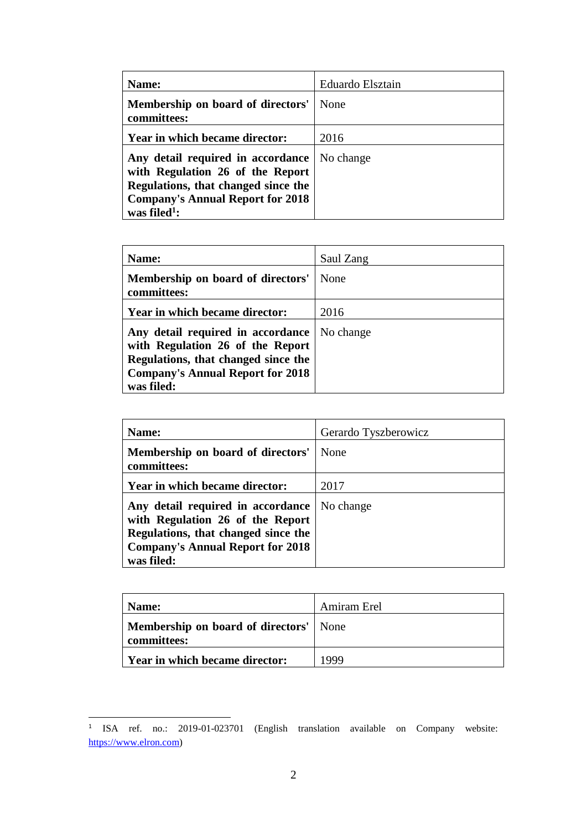| Name:                                                                                                                                                                               | Eduardo Elsztain |
|-------------------------------------------------------------------------------------------------------------------------------------------------------------------------------------|------------------|
| Membership on board of directors'<br>committees:                                                                                                                                    | None             |
| Year in which became director:                                                                                                                                                      | 2016             |
| Any detail required in accordance<br>with Regulation 26 of the Report<br>Regulations, that changed since the<br><b>Company's Annual Report for 2018</b><br>was filed <sup>1</sup> : | No change        |

| Name:                                                                                                                                                                 | Saul Zang |
|-----------------------------------------------------------------------------------------------------------------------------------------------------------------------|-----------|
| Membership on board of directors'<br>committees:                                                                                                                      | None      |
| Year in which became director:                                                                                                                                        | 2016      |
| Any detail required in accordance<br>with Regulation 26 of the Report<br>Regulations, that changed since the<br><b>Company's Annual Report for 2018</b><br>was filed: | No change |

| Name:                                                                                                                                                                 | Gerardo Tyszberowicz |
|-----------------------------------------------------------------------------------------------------------------------------------------------------------------------|----------------------|
| Membership on board of directors'<br>committees:                                                                                                                      | None                 |
| Year in which became director:                                                                                                                                        | 2017                 |
| Any detail required in accordance<br>with Regulation 26 of the Report<br>Regulations, that changed since the<br><b>Company's Annual Report for 2018</b><br>was filed: | No change            |

| Name:                                                        | Amiram Erel |
|--------------------------------------------------------------|-------------|
| <b>Membership on board of directors'</b> None<br>committees: |             |
| Year in which became director:                               | 1999        |

 $\overline{a}$ 

<sup>1</sup> ISA ref. no.: 2019-01-023701 (English translation available on Company website: [https://www.elron.com\)](https://www.elron.com/)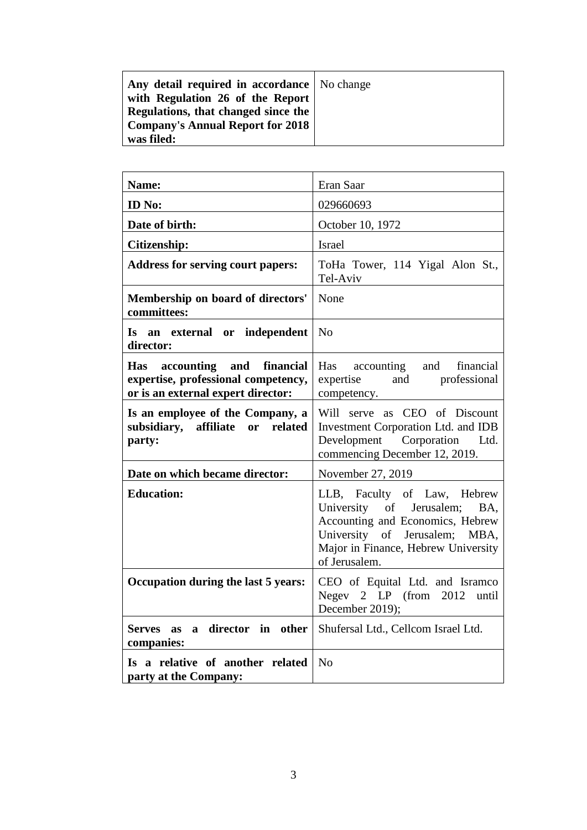| Name:                                                                                                        | Eran Saar                                                                                                                                                                                   |
|--------------------------------------------------------------------------------------------------------------|---------------------------------------------------------------------------------------------------------------------------------------------------------------------------------------------|
| ID No:                                                                                                       | 029660693                                                                                                                                                                                   |
| Date of birth:                                                                                               | October 10, 1972                                                                                                                                                                            |
| <b>Citizenship:</b>                                                                                          | <b>Israel</b>                                                                                                                                                                               |
| <b>Address for serving court papers:</b>                                                                     | ToHa Tower, 114 Yigal Alon St.,<br>Tel-Aviv                                                                                                                                                 |
| Membership on board of directors'<br>committees:                                                             | None                                                                                                                                                                                        |
| Is an external or independent<br>director:                                                                   | N <sub>o</sub>                                                                                                                                                                              |
| and financial<br>Has accounting<br>expertise, professional competency,<br>or is an external expert director: | Has accounting and<br>financial<br>expertise and professional<br>competency.                                                                                                                |
| Is an employee of the Company, a<br>subsidiary, affiliate or<br>related<br>party:                            | Will serve as CEO of Discount<br>Investment Corporation Ltd. and IDB<br>Development Corporation<br>Ltd.<br>commencing December 12, 2019.                                                    |
| Date on which became director:                                                                               | November 27, 2019                                                                                                                                                                           |
| <b>Education:</b>                                                                                            | LLB, Faculty of Law, Hebrew<br>University of Jerusalem;<br>BA,<br>Accounting and Economics, Hebrew<br>University of Jerusalem; MBA,<br>Major in Finance, Hebrew University<br>of Jerusalem. |
| Occupation during the last 5 years:                                                                          | CEO of Equital Ltd. and Isramco<br>Negev $2$ LP (from $2012$ )<br>until<br>December 2019);                                                                                                  |
| director in<br>other<br>Serves as<br>$\mathbf{a}$<br>companies:                                              | Shufersal Ltd., Cellcom Israel Ltd.                                                                                                                                                         |
| Is a relative of another related<br>party at the Company:                                                    | N <sub>o</sub>                                                                                                                                                                              |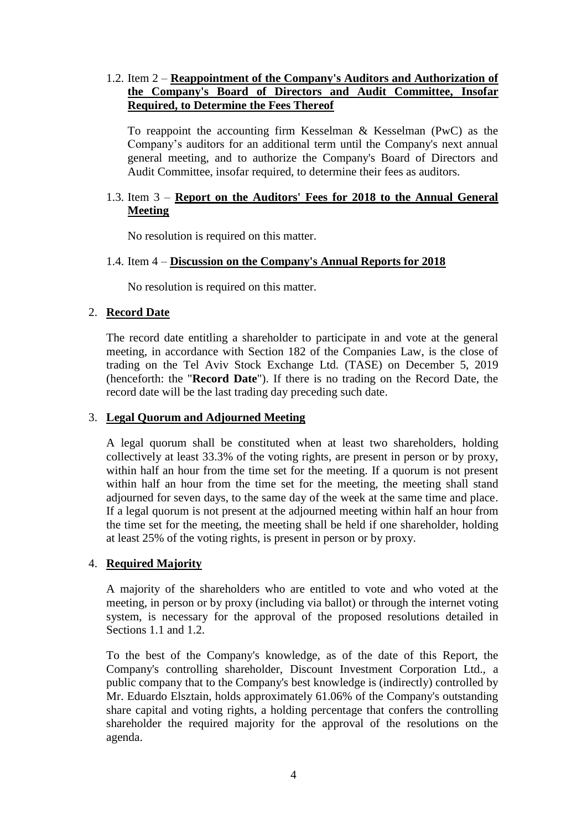# 1.2. Item 2 – **Reappointment of the Company's Auditors and Authorization of the Company's Board of Directors and Audit Committee, Insofar Required, to Determine the Fees Thereof**

To reappoint the accounting firm Kesselman & Kesselman (PwC) as the Company's auditors for an additional term until the Company's next annual general meeting, and to authorize the Company's Board of Directors and Audit Committee, insofar required, to determine their fees as auditors.

## 1.3. Item 3 – **Report on the Auditors' Fees for 2018 to the Annual General Meeting**

No resolution is required on this matter.

## 1.4. Item 4 – **Discussion on the Company's Annual Reports for 2018**

No resolution is required on this matter.

## 2. **Record Date**

The record date entitling a shareholder to participate in and vote at the general meeting, in accordance with Section 182 of the Companies Law, is the close of trading on the Tel Aviv Stock Exchange Ltd. (TASE) on December 5, 2019 (henceforth: the "**Record Date**"). If there is no trading on the Record Date, the record date will be the last trading day preceding such date.

#### 3. **Legal Quorum and Adjourned Meeting**

A legal quorum shall be constituted when at least two shareholders, holding collectively at least 33.3% of the voting rights, are present in person or by proxy, within half an hour from the time set for the meeting. If a quorum is not present within half an hour from the time set for the meeting, the meeting shall stand adjourned for seven days, to the same day of the week at the same time and place. If a legal quorum is not present at the adjourned meeting within half an hour from the time set for the meeting, the meeting shall be held if one shareholder, holding at least 25% of the voting rights, is present in person or by proxy.

#### 4. **Required Majority**

A majority of the shareholders who are entitled to vote and who voted at the meeting, in person or by proxy (including via ballot) or through the internet voting system, is necessary for the approval of the proposed resolutions detailed in Sections 1.1 and 1.2.

To the best of the Company's knowledge, as of the date of this Report, the Company's controlling shareholder, Discount Investment Corporation Ltd., a public company that to the Company's best knowledge is (indirectly) controlled by Mr. Eduardo Elsztain, holds approximately 61.06% of the Company's outstanding share capital and voting rights, a holding percentage that confers the controlling shareholder the required majority for the approval of the resolutions on the agenda.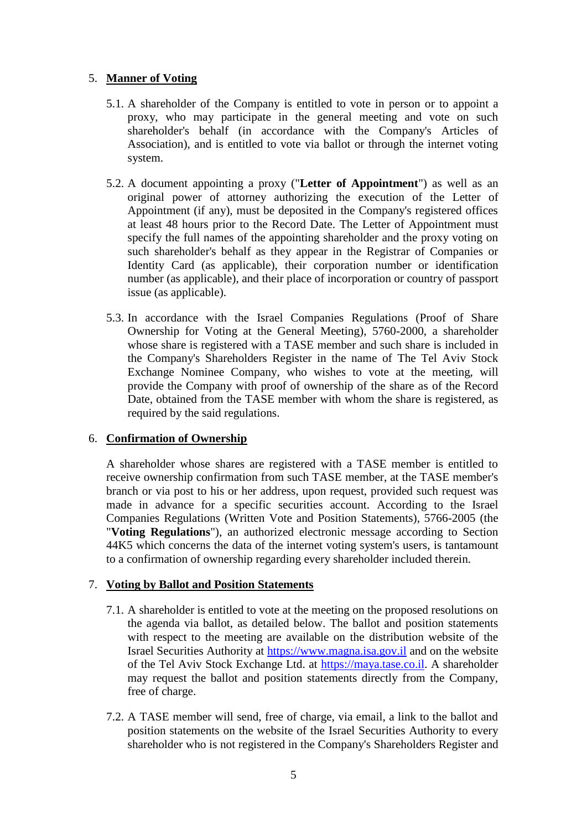# 5. **Manner of Voting**

- 5.1. A shareholder of the Company is entitled to vote in person or to appoint a proxy, who may participate in the general meeting and vote on such shareholder's behalf (in accordance with the Company's Articles of Association), and is entitled to vote via ballot or through the internet voting system.
- 5.2. A document appointing a proxy ("**Letter of Appointment**") as well as an original power of attorney authorizing the execution of the Letter of Appointment (if any), must be deposited in the Company's registered offices at least 48 hours prior to the Record Date. The Letter of Appointment must specify the full names of the appointing shareholder and the proxy voting on such shareholder's behalf as they appear in the Registrar of Companies or Identity Card (as applicable), their corporation number or identification number (as applicable), and their place of incorporation or country of passport issue (as applicable).
- 5.3. In accordance with the Israel Companies Regulations (Proof of Share Ownership for Voting at the General Meeting), 5760-2000, a shareholder whose share is registered with a TASE member and such share is included in the Company's Shareholders Register in the name of The Tel Aviv Stock Exchange Nominee Company, who wishes to vote at the meeting, will provide the Company with proof of ownership of the share as of the Record Date, obtained from the TASE member with whom the share is registered, as required by the said regulations.

# 6. **Confirmation of Ownership**

A shareholder whose shares are registered with a TASE member is entitled to receive ownership confirmation from such TASE member, at the TASE member's branch or via post to his or her address, upon request, provided such request was made in advance for a specific securities account. According to the Israel Companies Regulations (Written Vote and Position Statements), 5766-2005 (the "**Voting Regulations**"), an authorized electronic message according to Section 44K5 which concerns the data of the internet voting system's users, is tantamount to a confirmation of ownership regarding every shareholder included therein.

#### 7. **Voting by Ballot and Position Statements**

- 7.1. A shareholder is entitled to vote at the meeting on the proposed resolutions on the agenda via ballot, as detailed below. The ballot and position statements with respect to the meeting are available on the distribution website of the Israel Securities Authority at [https://www.magna.isa.gov.il](https://www.magna.isa.gov.il/) and on the website of the Tel Aviv Stock Exchange Ltd. at [https://maya.tase.co.il.](https://maya.tase.co.il/) A shareholder may request the ballot and position statements directly from the Company, free of charge.
- 7.2. A TASE member will send, free of charge, via email, a link to the ballot and position statements on the website of the Israel Securities Authority to every shareholder who is not registered in the Company's Shareholders Register and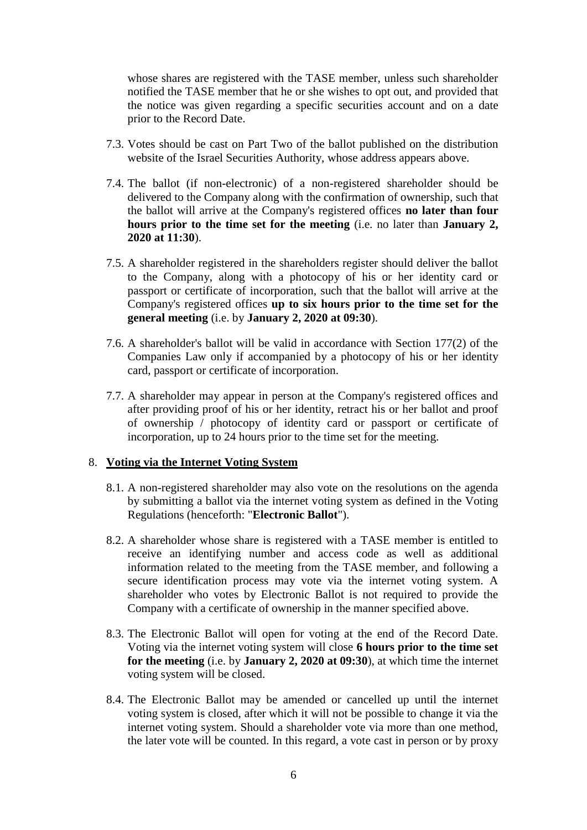whose shares are registered with the TASE member, unless such shareholder notified the TASE member that he or she wishes to opt out, and provided that the notice was given regarding a specific securities account and on a date prior to the Record Date.

- 7.3. Votes should be cast on Part Two of the ballot published on the distribution website of the Israel Securities Authority, whose address appears above.
- 7.4. The ballot (if non-electronic) of a non-registered shareholder should be delivered to the Company along with the confirmation of ownership, such that the ballot will arrive at the Company's registered offices **no later than four hours prior to the time set for the meeting** (i.e. no later than **January 2, 2020 at 11:30**).
- 7.5. A shareholder registered in the shareholders register should deliver the ballot to the Company, along with a photocopy of his or her identity card or passport or certificate of incorporation, such that the ballot will arrive at the Company's registered offices **up to six hours prior to the time set for the general meeting** (i.e. by **January 2, 2020 at 09:30**).
- 7.6. A shareholder's ballot will be valid in accordance with Section 177(2) of the Companies Law only if accompanied by a photocopy of his or her identity card, passport or certificate of incorporation.
- 7.7. A shareholder may appear in person at the Company's registered offices and after providing proof of his or her identity, retract his or her ballot and proof of ownership / photocopy of identity card or passport or certificate of incorporation, up to 24 hours prior to the time set for the meeting.

#### 8. **Voting via the Internet Voting System**

- 8.1. A non-registered shareholder may also vote on the resolutions on the agenda by submitting a ballot via the internet voting system as defined in the Voting Regulations (henceforth: "**Electronic Ballot**").
- 8.2. A shareholder whose share is registered with a TASE member is entitled to receive an identifying number and access code as well as additional information related to the meeting from the TASE member, and following a secure identification process may vote via the internet voting system. A shareholder who votes by Electronic Ballot is not required to provide the Company with a certificate of ownership in the manner specified above.
- 8.3. The Electronic Ballot will open for voting at the end of the Record Date. Voting via the internet voting system will close **6 hours prior to the time set for the meeting** (i.e. by **January 2, 2020 at 09:30**), at which time the internet voting system will be closed.
- 8.4. The Electronic Ballot may be amended or cancelled up until the internet voting system is closed, after which it will not be possible to change it via the internet voting system. Should a shareholder vote via more than one method, the later vote will be counted. In this regard, a vote cast in person or by proxy